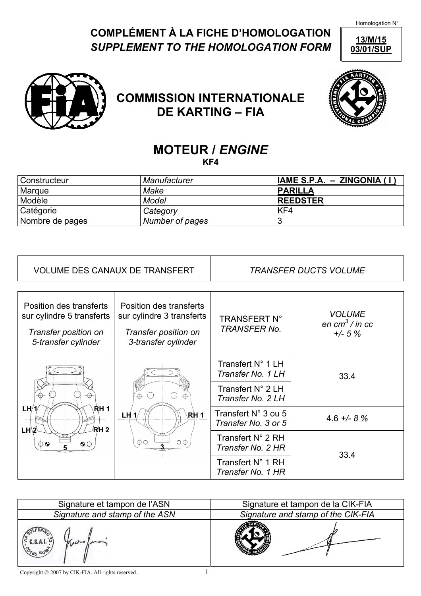Homologation N°

## **COMPLÉMENT À LA FICHE D'HOMOLOGATION**  *SUPPLEMENT TO THE HOMOLOGATION FORM*

**13/M/15 03/01/SUP**



**COMMISSION INTERNATIONALE DE KARTING – FIA**



## **MOTEUR /** *ENGINE*  **KF4**

| l Constructeur  | Manufacturer    | IAME S.P.A. - ZINGONIA (I) |
|-----------------|-----------------|----------------------------|
| Marque          | Make            | <b>PARILLA</b>             |
| Modèle          | Model           | <b>REEDSTER</b>            |
| Catégorie       | Category        | KF4                        |
| Nombre de pages | Number of pages | Ð<br>v.                    |

| <b>VOLUME DES CANAUX DE TRANSFERT</b>                                                               |                                                                                                     | <b>TRANSFER DUCTS VOLUME</b>                                                     |                                                           |
|-----------------------------------------------------------------------------------------------------|-----------------------------------------------------------------------------------------------------|----------------------------------------------------------------------------------|-----------------------------------------------------------|
| Position des transferts<br>sur cylindre 5 transferts<br>Transfer position on<br>5-transfer cylinder | Position des transferts<br>sur cylindre 3 transferts<br>Transfer position on<br>3-transfer cylinder | <b>TRANSFERT N°</b><br><b>TRANSFER No.</b>                                       | <b>VOLUME</b><br>en cm <sup>3</sup> / in cc<br>$+/- 5 \%$ |
| RH 1<br>LH/1<br>/R/H 2<br>$LH\$<br>$\circledcirc$<br>$\Theta$                                       | RH 1<br>LH<br>$\circ \oplus$<br>$\oplus \circ$                                                      | Transfert N° 1 LH<br>Transfer No. 1 LH<br>Transfert N° 2 LH<br>Transfer No. 2 LH | 33.4                                                      |
|                                                                                                     |                                                                                                     | Transfert N° 3 ou 5<br>Transfer No. 3 or 5                                       | $4.6 + - 8 \%$                                            |
|                                                                                                     |                                                                                                     | Transfert N° 2 RH<br>Transfer No. 2 HR                                           | 33.4                                                      |
|                                                                                                     |                                                                                                     | Transfert N° 1 RH<br>Transfer No. 1 HR                                           |                                                           |

| Signature et tampon de l'ASN   | Signature et tampon de la CIK-FIA  |  |  |
|--------------------------------|------------------------------------|--|--|
| Signature and stamp of the ASN | Signature and stamp of the CIK-FIA |  |  |
| C.S.A.I.<br>$85 R0^8$          |                                    |  |  |

Copyright  $\odot$  2007 by CIK-FIA. All rights reserved.  $1$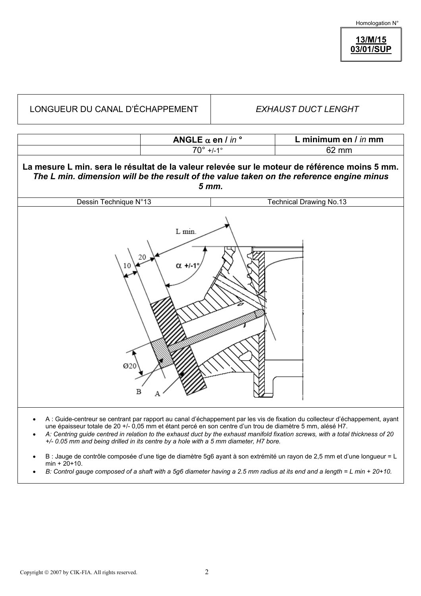Homologation N°

## **13/M/15 03/01/SUP**

| LONGUEUR DU CANAL D'ÉCHAPPEMENT                                                                                                                                                                    |                                                        | <b>EXHAUST DUCT LENGHT</b> |                                |  |  |  |
|----------------------------------------------------------------------------------------------------------------------------------------------------------------------------------------------------|--------------------------------------------------------|----------------------------|--------------------------------|--|--|--|
|                                                                                                                                                                                                    | ANGLE $\alpha$ en $l$ in $\circ$<br>$70^{\circ}$ +/-1° |                            | L minimum en / in mm<br>62 mm  |  |  |  |
| La mesure L min. sera le résultat de la valeur relevée sur le moteur de référence moins 5 mm.<br>The L min. dimension will be the result of the value taken on the reference engine minus<br>5 mm. |                                                        |                            |                                |  |  |  |
| Dessin Technique N°13                                                                                                                                                                              |                                                        |                            | <b>Technical Drawing No.13</b> |  |  |  |
| L min.<br>20<br>$\alpha$ +/-1<br>Ø20<br>в                                                                                                                                                          |                                                        |                            |                                |  |  |  |

- A : Guide-centreur se centrant par rapport au canal d'échappement par les vis de fixation du collecteur d'échappement, ayant une épaisseur totale de 20 +/- 0,05 mm et étant percé en son centre d'un trou de diamètre 5 mm, alésé H7.
- *A: Centring guide centred in relation to the exhaust duct by the exhaust manifold fixation screws, with a total thickness of 20 +/- 0.05 mm and being drilled in its centre by a hole with a 5 mm diameter, H7 bore.*
- B : Jauge de contrôle composée d'une tige de diamètre 5g6 ayant à son extrémité un rayon de 2,5 mm et d'une longueur = L  $min + 20 + 10$ .
- *B: Control gauge composed of a shaft with a 5g6 diameter having a 2.5 mm radius at its end and a length = L min + 20+10.*